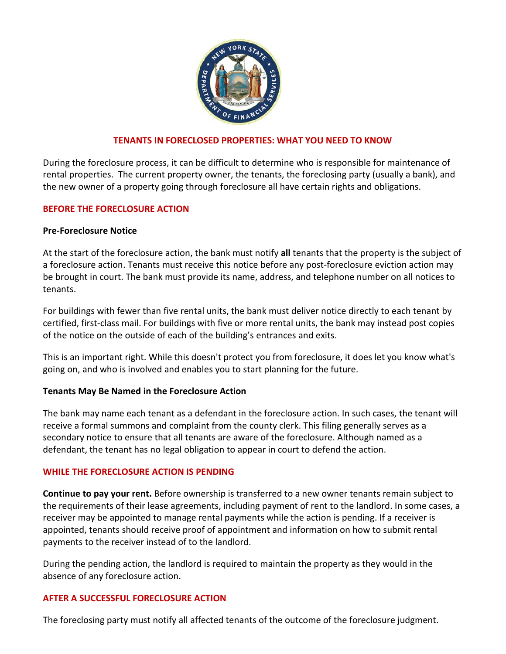

## **TENANTS IN FORECLOSED PROPERTIES: WHAT YOU NEED TO KNOW**

During the foreclosure process, it can be difficult to determine who is responsible for maintenance of rental properties. The current property owner, the tenants, the foreclosing party (usually a bank), and the new owner of a property going through foreclosure all have certain rights and obligations.

### **BEFORE THE FORECLOSURE ACTION**

### **Pre-Foreclosure Notice**

At the start of the foreclosure action, the bank must notify **all** tenants that the property is the subject of a foreclosure action. Tenants must receive this notice before any post-foreclosure eviction action may be brought in court. The bank must provide its name, address, and telephone number on all notices to tenants.

For buildings with fewer than five rental units, the bank must deliver notice directly to each tenant by certified, first-class mail. For buildings with five or more rental units, the bank may instead post copies of the notice on the outside of each of the building's entrances and exits.

This is an important right. While this doesn't protect you from foreclosure, it does let you know what's going on, and who is involved and enables you to start planning for the future.

### **Tenants May Be Named in the Foreclosure Action**

The bank may name each tenant as a defendant in the foreclosure action. In such cases, the tenant will receive a formal summons and complaint from the county clerk. This filing generally serves as a secondary notice to ensure that all tenants are aware of the foreclosure. Although named as a defendant, the tenant has no legal obligation to appear in court to defend the action.

### **WHILE THE FORECLOSURE ACTION IS PENDING**

**Continue to pay your rent.** Before ownership is transferred to a new owner tenants remain subject to the requirements of their lease agreements, including payment of rent to the landlord. In some cases, a receiver may be appointed to manage rental payments while the action is pending. If a receiver is appointed, tenants should receive proof of appointment and information on how to submit rental payments to the receiver instead of to the landlord.

During the pending action, the landlord is required to maintain the property as they would in the absence of any foreclosure action.

### **AFTER A SUCCESSFUL FORECLOSURE ACTION**

The foreclosing party must notify all affected tenants of the outcome of the foreclosure judgment.